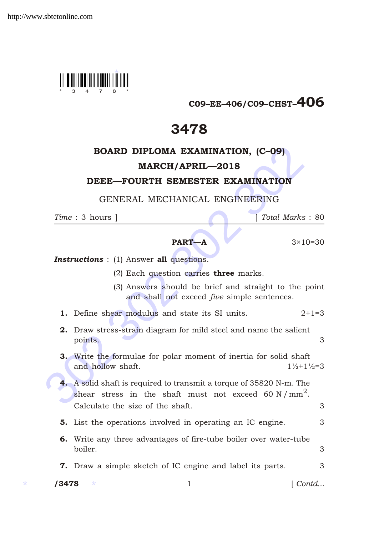

# C09–EE–406/C09–CHST–406

# 3478

## BOARD DIPLOMA EXAMINATION, (C–09) MARCH/APRIL—2018

### DEEE—FOURTH SEMESTER EXAMINATION

#### GENERAL MECHANICAL ENGINEERING

*Time* : 3 hours ] [ *Total Marks* : 80



**Instructions** : (1) Answer all questions.

- (2) Each question carries **three** marks.
- (3) Answers should be brief and straight to the point and shall not exceed *five* simple sentences.
- **1.** Define shear modulus and state its SI units.  $2+1=3$
- 2. Draw stress-strain diagram for mild steel and name the salient points. 3
- 3. Write the formulae for polar moment of inertia for solid shaft and hollow shaft.  $1\frac{1}{2}+1\frac{1}{2}=3$
- **BOARD DIPLOMA EXAMINATION, (C-09)**<br> **MARCH/APRIL—2018**<br> **DEEE—FOURTH SEMESTER EXAMINATION**<br>
GENERAL MECHANICAL ENGINEERING<br>
Time : 3 hours | Total Marks :<br> **PART—A** 3×10-<br> **Instructions** : (1) Answer all questions.<br>
(2) 4. A solid shaft is required to transmit a torque of 35820 N-m. The shear stress in the shaft must not exceed 60 N/mm<sup>2</sup>. Calculate the size of the shaft. 3
	- **5.** List the operations involved in operating an IC engine. 3
	- 6. Write any three advantages of fire-tube boiler over water-tube boiler. 3

**7.** Draw a simple sketch of IC engine and label its parts.  $\frac{3}{3}$ 

\* \*

1 *Contd...*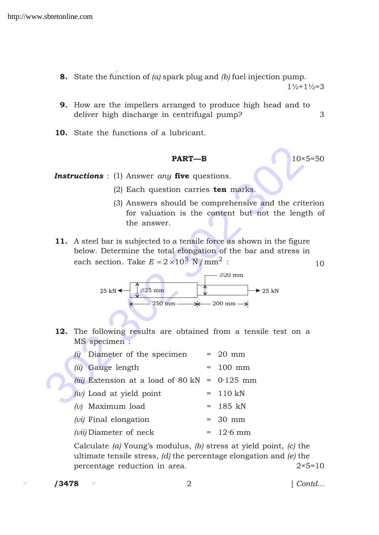- **8.** State the function of  $(a)$  spark plug and  $(b)$  fuel injection pump.  $1\frac{1}{2}+1\frac{1}{2}=3$
- 9. How are the impellers arranged to produce high head and to deliver high discharge in centrifugal pump? 3
- 10. State the functions of a lubricant.

#### **PART—B** 10×5=50

- (2) Each question carries  $ten$  marks.
- (3) Answers should be comprehensive and the criterion for valuation is the content but not the length of the answer.
- 11. A steel bar is subjected to a tensile force as shown in the figure below. Determine the total elongation of the bar and stress in each section. Take  $E = 2 \cdot 10^5 \text{ N/mm}^2$  :



| <b>PART-B</b>                                                                                                                                                                                 |     |                                                                        | $10\times 5=$ |
|-----------------------------------------------------------------------------------------------------------------------------------------------------------------------------------------------|-----|------------------------------------------------------------------------|---------------|
| <b>Instructions</b> : (1) Answer any five questions.                                                                                                                                          |     |                                                                        |               |
| $(2)$ Each question carries <b>ten</b> marks.                                                                                                                                                 |     |                                                                        |               |
| (3) Answers should be comprehensive and the criteri<br>the answer.                                                                                                                            |     | for valuation is the content but not the length                        |               |
| 11. A steel bar is subjected to a tensile force as shown in the figure<br>below. Determine the total elongation of the bar and stress in<br>each section. Take E 2 $10^5$ N/mm <sup>2</sup> : |     |                                                                        |               |
| $25 \text{ mm}$<br>25 kN<br>$-250$ mm $-$                                                                                                                                                     |     | $20 \text{ mm}$<br>$\rightarrow$ 25 kN<br>$\star$ 200 mm $\rightarrow$ |               |
| 12. The following results are obtained from a tensile test on a<br>MS specimen :                                                                                                              |     |                                                                        |               |
| $(i)$ Diameter of the specimen                                                                                                                                                                |     | $= 20$ mm                                                              |               |
| (ii) Gauge length                                                                                                                                                                             | $=$ | $100$ mm                                                               |               |
| <i>(iii)</i> Extension at a load of 80 kN                                                                                                                                                     | $=$ | $0.125$ mm                                                             |               |
| $(iv)$ Load at yield point                                                                                                                                                                    | $=$ | 110 kN                                                                 |               |
| $(v)$ Maximum load                                                                                                                                                                            | $=$ | 185 kN                                                                 |               |
| $(vi)$ Final elongation                                                                                                                                                                       |     | 30 mm                                                                  |               |
| $(vii)$ Diameter of neck                                                                                                                                                                      | $=$ | $12.6$ mm                                                              |               |

Calculate *(a)* Young's modulus, *(b)* stress at yield point, *(c)* the ultimate tensile stress, *(d)* the percentage elongation and *(e)* the percentage reduction in area.  $2 \times 5=10$ 

 $/ 3478$ 

/3478 2 [ *Contd...*